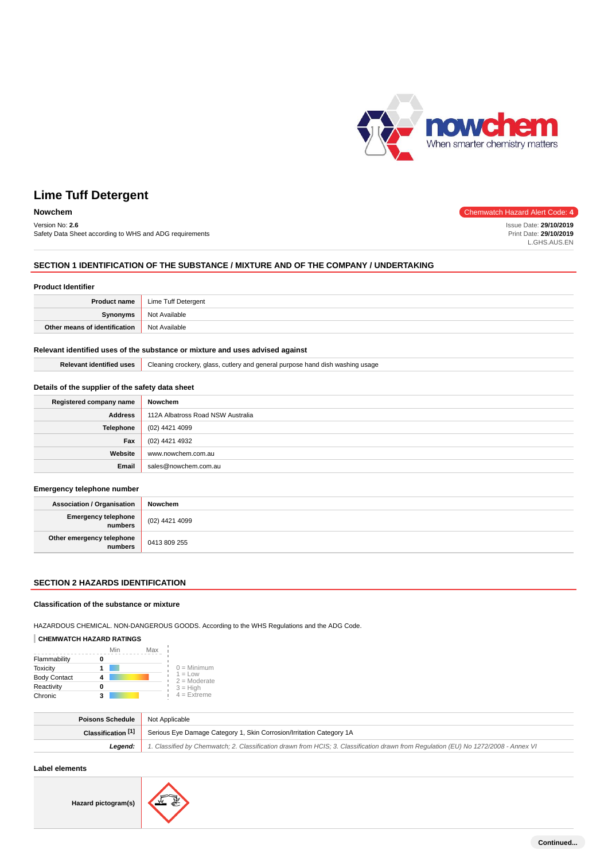

Issue Date: **29/10/2019** Print Date: **29/10/2019** L.GHS.AUS.EN

# **Lime Tuff Detergent**

# **Nowchem** Chemwatch Hazard Alert Code: 4

Version No: **2.6**

Safety Data Sheet according to WHS and ADG requirements

# **SECTION 1 IDENTIFICATION OF THE SUBSTANCE / MIXTURE AND OF THE COMPANY / UNDERTAKING**

#### **Product Identifier**

| <b>Product name</b>           | Lime Tuff Detergent  |
|-------------------------------|----------------------|
| <b>Synonyms</b>               | Not Available        |
| Other means of identification | <b>Not Available</b> |

#### **Relevant identified uses of the substance or mixture and uses advised against**

| Relevant<br>Cleaning crockery, glass, cutlery and general purpose hand dish washing usage<br>t identified uses |  |
|----------------------------------------------------------------------------------------------------------------|--|
|----------------------------------------------------------------------------------------------------------------|--|

# **Details of the supplier of the safety data sheet**

| Registered company name | Nowchem                           |
|-------------------------|-----------------------------------|
| <b>Address</b>          | 112A Albatross Road NSW Australia |
| <b>Telephone</b>        | (02) 4421 4099                    |
| Fax                     | (02) 4421 4932                    |
| Website                 | www.nowchem.com.au                |
| Email                   | sales@nowchem.com.au              |

# **Emergency telephone number**

| <b>Association / Organisation</b>    | Nowchem        |
|--------------------------------------|----------------|
| Emergency telephone<br>numbers       | (02) 4421 4099 |
| Other emergency telephone<br>numbers | 0413 809 255   |

#### **SECTION 2 HAZARDS IDENTIFICATION**

#### **Classification of the substance or mixture**

HAZARDOUS CHEMICAL. NON-DANGEROUS GOODS. According to the WHS Regulations and the ADG Code.

# **CHEMWATCH HAZARD RATINGS**

|                     | Min | Max |                             |
|---------------------|-----|-----|-----------------------------|
| Flammability        |     |     |                             |
| <b>Toxicity</b>     |     |     | $0 =$ Minimum               |
| <b>Body Contact</b> |     |     | $1 = Low$<br>$2 =$ Moderate |
| Reactivity          |     |     | $3 = High$                  |
| Chronic             | ર   |     | $4$ = Extreme               |

| <b>Poisons Schedule</b> Not Applicable |                                                                                                                                     |
|----------------------------------------|-------------------------------------------------------------------------------------------------------------------------------------|
|                                        | <b>Classification [1]</b> Serious Eye Damage Category 1, Skin Corrosion/Irritation Category 1A                                      |
| Leaend:                                | 1. Classified by Chemwatch; 2. Classification drawn from HCIS; 3. Classification drawn from Requlation (EU) No 1272/2008 - Annex VI |

#### **Label elements**

**Hazard pictogram(s)**

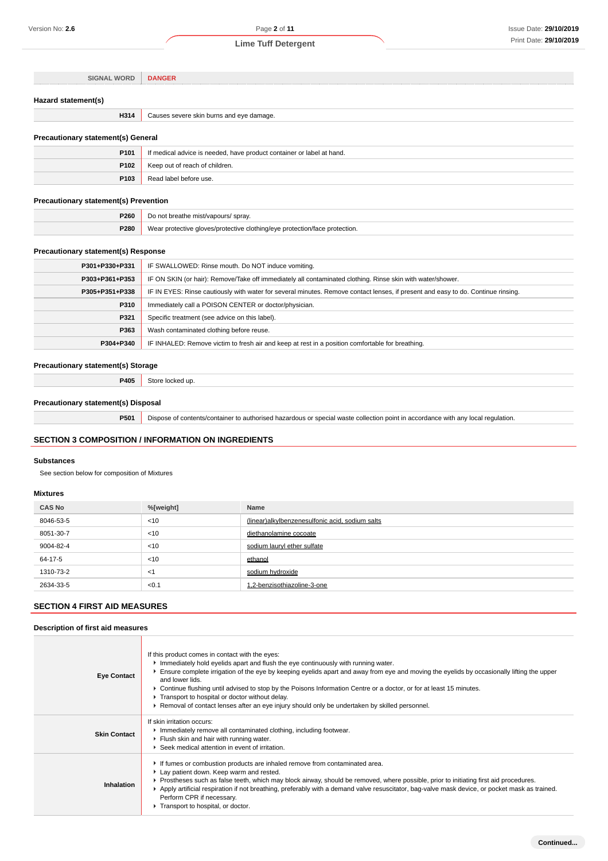**P280** Wear protective gloves/protective clothing/eye protection/face protection.

| <b>SIGNAL WORD</b>                           | <b>DANGER</b>                                                         |  |
|----------------------------------------------|-----------------------------------------------------------------------|--|
| Hazard statement(s)                          |                                                                       |  |
| H314                                         | Causes severe skin burns and eye damage.                              |  |
| <b>Precautionary statement(s) General</b>    |                                                                       |  |
| P <sub>101</sub>                             | If medical advice is needed, have product container or label at hand. |  |
| P102                                         | Keep out of reach of children.                                        |  |
| P103                                         | Read label before use.                                                |  |
| <b>Precautionary statement(s) Prevention</b> |                                                                       |  |
| P260                                         | Do not breathe mist/vapours/ spray.                                   |  |

# **Precautionary statement(s) Response**

| P301+P330+P331 | IF SWALLOWED: Rinse mouth. Do NOT induce vomiting.                                                                               |  |
|----------------|----------------------------------------------------------------------------------------------------------------------------------|--|
| P303+P361+P353 | IF ON SKIN (or hair): Remove/Take off immediately all contaminated clothing. Rinse skin with water/shower.                       |  |
| P305+P351+P338 | IF IN EYES: Rinse cautiously with water for several minutes. Remove contact lenses, if present and easy to do. Continue rinsing. |  |
| P310           | Immediately call a POISON CENTER or doctor/physician.                                                                            |  |
| P321           | Specific treatment (see advice on this label).                                                                                   |  |
| P363           | Wash contaminated clothing before reuse.                                                                                         |  |
| P304+P340      | IF INHALED: Remove victim to fresh air and keep at rest in a position comfortable for breathing.                                 |  |

# **Precautionary statement(s) Storage**

**P405** Store locked up.

# **Precautionary statement(s) Disposal**

**P501** Dispose of contents/container to authorised hazardous or special waste collection point in accordance with any local regulation.

# **SECTION 3 COMPOSITION / INFORMATION ON INGREDIENTS**

#### **Substances**

See section below for composition of Mixtures

### **Mixtures**

| <b>CAS No</b> | %[weight] | Name                                            |
|---------------|-----------|-------------------------------------------------|
| 8046-53-5     | < 10      | (linear)alkylbenzenesulfonic acid, sodium salts |
| 8051-30-7     | < 10      | diethanolamine cocoate                          |
| 9004-82-4     | < 10      | sodium lauryl ether sulfate                     |
| 64-17-5       | < 10      | ethanol                                         |
| 1310-73-2     | $<$ 1     | sodium hvdroxide                                |
| 2634-33-5     | < 0.1     | 1,2-benzisothiazoline-3-one                     |

# **SECTION 4 FIRST AID MEASURES**

# **Description of first aid measures**

| <b>Eye Contact</b>  | If this product comes in contact with the eyes:<br>Immediately hold eyelids apart and flush the eye continuously with running water.<br>Ensure complete irrigation of the eye by keeping eyelids apart and away from eye and moving the eyelids by occasionally lifting the upper<br>and lower lids.<br>▶ Continue flushing until advised to stop by the Poisons Information Centre or a doctor, or for at least 15 minutes.<br>Transport to hospital or doctor without delay.<br>▶ Removal of contact lenses after an eye injury should only be undertaken by skilled personnel. |
|---------------------|-----------------------------------------------------------------------------------------------------------------------------------------------------------------------------------------------------------------------------------------------------------------------------------------------------------------------------------------------------------------------------------------------------------------------------------------------------------------------------------------------------------------------------------------------------------------------------------|
| <b>Skin Contact</b> | If skin irritation occurs:<br>Inmediately remove all contaminated clothing, including footwear.<br>Flush skin and hair with running water.<br>▶ Seek medical attention in event of irritation.                                                                                                                                                                                                                                                                                                                                                                                    |
| Inhalation          | If fumes or combustion products are inhaled remove from contaminated area.<br>Lay patient down. Keep warm and rested.<br>▶ Prostheses such as false teeth, which may block airway, should be removed, where possible, prior to initiating first aid procedures.<br>▶ Apply artificial respiration if not breathing, preferably with a demand valve resuscitator, bag-valve mask device, or pocket mask as trained.<br>Perform CPR if necessary.<br>Transport to hospital, or doctor.                                                                                              |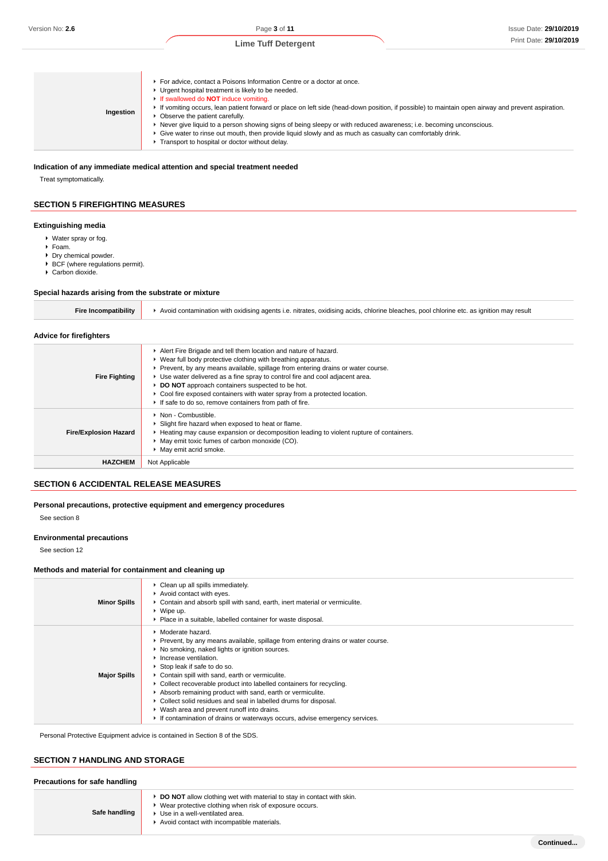| Ingestion | For advice, contact a Poisons Information Centre or a doctor at once.<br>• Urgent hospital treatment is likely to be needed.<br>If swallowed do <b>NOT</b> induce vomiting.<br>If vomiting occurs, lean patient forward or place on left side (head-down position, if possible) to maintain open airway and prevent aspiration.<br>• Observe the patient carefully.<br>▶ Never give liquid to a person showing signs of being sleepy or with reduced awareness; i.e. becoming unconscious.<br>► Give water to rinse out mouth, then provide liquid slowly and as much as casualty can comfortably drink.<br>Transport to hospital or doctor without delay. |
|-----------|------------------------------------------------------------------------------------------------------------------------------------------------------------------------------------------------------------------------------------------------------------------------------------------------------------------------------------------------------------------------------------------------------------------------------------------------------------------------------------------------------------------------------------------------------------------------------------------------------------------------------------------------------------|
|-----------|------------------------------------------------------------------------------------------------------------------------------------------------------------------------------------------------------------------------------------------------------------------------------------------------------------------------------------------------------------------------------------------------------------------------------------------------------------------------------------------------------------------------------------------------------------------------------------------------------------------------------------------------------------|

# **Indication of any immediate medical attention and special treatment needed**

Treat symptomatically.

# **SECTION 5 FIREFIGHTING MEASURES**

#### **Extinguishing media**

- Water spray or fog.
- Foam.
- Dry chemical powder.
- $\blacktriangleright$  BCF (where regulations permit).
- ▶ Carbon dioxide.

#### **Special hazards arising from the substrate or mixture**

| <b>Fire Incompatibility</b>    | ► Avoid contamination with oxidising agents i.e. nitrates, oxidising acids, chlorine bleaches, pool chlorine etc. as ignition may result                                                                                                                                                                                                                                                                                                                                                             |  |  |
|--------------------------------|------------------------------------------------------------------------------------------------------------------------------------------------------------------------------------------------------------------------------------------------------------------------------------------------------------------------------------------------------------------------------------------------------------------------------------------------------------------------------------------------------|--|--|
| <b>Advice for firefighters</b> |                                                                                                                                                                                                                                                                                                                                                                                                                                                                                                      |  |  |
| <b>Fire Fighting</b>           | Alert Fire Brigade and tell them location and nature of hazard.<br>▶ Wear full body protective clothing with breathing apparatus.<br>▶ Prevent, by any means available, spillage from entering drains or water course.<br>► Use water delivered as a fine spray to control fire and cool adjacent area.<br>▶ DO NOT approach containers suspected to be hot.<br>• Cool fire exposed containers with water spray from a protected location.<br>If safe to do so, remove containers from path of fire. |  |  |
| <b>Fire/Explosion Hazard</b>   | • Non - Combustible.<br>Slight fire hazard when exposed to heat or flame.<br>► Heating may cause expansion or decomposition leading to violent rupture of containers.<br>• May emit toxic fumes of carbon monoxide (CO).<br>• May emit acrid smoke.                                                                                                                                                                                                                                                  |  |  |
| <b>HAZCHEM</b>                 | Not Applicable                                                                                                                                                                                                                                                                                                                                                                                                                                                                                       |  |  |

# **SECTION 6 ACCIDENTAL RELEASE MEASURES**

# **Personal precautions, protective equipment and emergency procedures**

See section 8

# **Environmental precautions**

See section 12

# **Methods and material for containment and cleaning up**

| <b>Minor Spills</b> | Clean up all spills immediately.<br>Avoid contact with eyes.<br>► Contain and absorb spill with sand, earth, inert material or vermiculite.<br>$\triangleright$ Wipe up.<br>Place in a suitable, labelled container for waste disposal.                                                                                                                                                                                                                                                                                                                                                                      |
|---------------------|--------------------------------------------------------------------------------------------------------------------------------------------------------------------------------------------------------------------------------------------------------------------------------------------------------------------------------------------------------------------------------------------------------------------------------------------------------------------------------------------------------------------------------------------------------------------------------------------------------------|
| <b>Major Spills</b> | Moderate hazard.<br>▶ Prevent, by any means available, spillage from entering drains or water course.<br>▶ No smoking, naked lights or ignition sources.<br>Increase ventilation.<br>▶ Stop leak if safe to do so.<br>Contain spill with sand, earth or vermiculite.<br>• Collect recoverable product into labelled containers for recycling.<br>Absorb remaining product with sand, earth or vermiculite.<br>• Collect solid residues and seal in labelled drums for disposal.<br>▶ Wash area and prevent runoff into drains.<br>If contamination of drains or waterways occurs, advise emergency services. |

Personal Protective Equipment advice is contained in Section 8 of the SDS.

# **SECTION 7 HANDLING AND STORAGE**

| Precautions for safe handling |                                                                                                                                                                                                                       |  |  |  |
|-------------------------------|-----------------------------------------------------------------------------------------------------------------------------------------------------------------------------------------------------------------------|--|--|--|
| Safe handling                 | ► DO NOT allow clothing wet with material to stay in contact with skin.<br>▶ Wear protective clothing when risk of exposure occurs.<br>▶ Use in a well-ventilated area.<br>Avoid contact with incompatible materials. |  |  |  |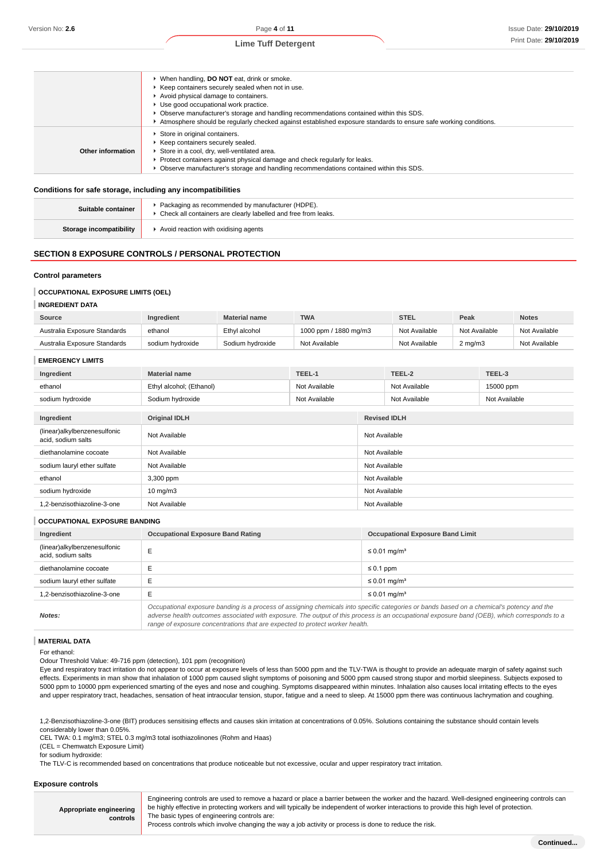|                   | ▶ When handling, DO NOT eat, drink or smoke.<br>Keep containers securely sealed when not in use.<br>Avoid physical damage to containers.<br>Use good occupational work practice.<br>► Observe manufacturer's storage and handling recommendations contained within this SDS.<br>Atmosphere should be regularly checked against established exposure standards to ensure safe working conditions. |
|-------------------|--------------------------------------------------------------------------------------------------------------------------------------------------------------------------------------------------------------------------------------------------------------------------------------------------------------------------------------------------------------------------------------------------|
| Other information | Store in original containers.<br>Keep containers securely sealed.<br>Store in a cool, dry, well-ventilated area.<br>Protect containers against physical damage and check regularly for leaks.<br>► Observe manufacturer's storage and handling recommendations contained within this SDS.                                                                                                        |

### **Conditions for safe storage, including any incompatibilities**

| Suitable container      | Packaging as recommended by manufacturer (HDPE).<br>• Check all containers are clearly labelled and free from leaks. |  |
|-------------------------|----------------------------------------------------------------------------------------------------------------------|--|
| Storage incompatibility | Avoid reaction with oxidising agents                                                                                 |  |

# **SECTION 8 EXPOSURE CONTROLS / PERSONAL PROTECTION**

#### **Control parameters**

### **OCCUPATIONAL EXPOSURE LIMITS (OEL)**

#### **INGREDIENT DATA**

| Source                       | <b>Ingredient</b> | <b>Material name</b> | <b>TWA</b>            | <b>STEL</b>   | Peak             | <b>Notes</b>  |
|------------------------------|-------------------|----------------------|-----------------------|---------------|------------------|---------------|
| Australia Exposure Standards | ethanol           | Ethyl alcohol        | 1000 ppm / 1880 mg/m3 | Not Available | Not Available    | Not Available |
| Australia Exposure Standards | sodium hydroxide  | Sodium hydroxide     | Not Available         | Not Available | $2 \text{ mg/m}$ | Not Available |

| <b>EMERGENCY LIMITS</b>                            |                          |               |                     |               |               |  |
|----------------------------------------------------|--------------------------|---------------|---------------------|---------------|---------------|--|
| Ingredient                                         | <b>Material name</b>     | TEEL-1        |                     | TEEL-2        | TEEL-3        |  |
| ethanol                                            | Ethyl alcohol; (Ethanol) | Not Available |                     | Not Available | 15000 ppm     |  |
| sodium hydroxide                                   | Sodium hydroxide         | Not Available |                     | Not Available | Not Available |  |
|                                                    |                          |               |                     |               |               |  |
| Ingredient                                         | <b>Original IDLH</b>     |               | <b>Revised IDLH</b> |               |               |  |
| (linear)alkylbenzenesulfonic<br>acid, sodium salts | Not Available            |               | Not Available       |               |               |  |
| diethanolamine cocoate                             | Not Available            |               |                     | Not Available |               |  |
| sodium lauryl ether sulfate                        | Not Available            |               | Not Available       |               |               |  |
| ethanol                                            | 3,300 ppm                |               | Not Available       |               |               |  |
| sodium hydroxide                                   | $10 \text{ mg/m}$        |               | Not Available       |               |               |  |
| .2-benzisothiazoline-3-one                         | Not Available            |               | Not Available       |               |               |  |

**OCCUPATIONAL EXPOSURE BANDING Ingredient Occupational Exposure Band Rating Occupational Exposure Band Limit** (linear)alkylbenzenesulfonic

| Notes:                                                 | Occupational exposure banding is a process of assigning chemicals into specific categories or bands based on a chemical's potency and the<br>adverse health outcomes associated with exposure. The output of this process is an occupational exposure band (OEB), which corresponds to a |                               |  |
|--------------------------------------------------------|------------------------------------------------------------------------------------------------------------------------------------------------------------------------------------------------------------------------------------------------------------------------------------------|-------------------------------|--|
| 1.2-benzisothiazoline-3-one                            |                                                                                                                                                                                                                                                                                          | ≤ 0.01 mg/m <sup>3</sup>      |  |
| sodium lauryl ether sulfate                            |                                                                                                                                                                                                                                                                                          | $\leq$ 0.01 mg/m <sup>3</sup> |  |
| diethanolamine cocoate                                 |                                                                                                                                                                                                                                                                                          | $\leq 0.1$ ppm                |  |
| (illieal) alkylberizeriesullonic<br>acid, sodium salts |                                                                                                                                                                                                                                                                                          | ≤ 0.01 mg/m <sup>3</sup>      |  |

#### **MATERIAL DATA**

For ethanol:

Odour Threshold Value: 49-716 ppm (detection), 101 ppm (recognition)

Eye and respiratory tract irritation do not appear to occur at exposure levels of less than 5000 ppm and the TLV-TWA is thought to provide an adequate margin of safety against such effects. Experiments in man show that inhalation of 1000 ppm caused slight symptoms of poisoning and 5000 ppm caused strong stupor and morbid sleepiness. Subjects exposed to 5000 ppm to 10000 ppm experienced smarting of the eyes and nose and coughing. Symptoms disappeared within minutes. Inhalation also causes local irritating effects to the eyes and upper respiratory tract, headaches, sensation of heat intraocular tension, stupor, fatigue and a need to sleep. At 15000 ppm there was continuous lachrymation and coughing.

1,2-Benzisothiazoline-3-one (BIT) produces sensitising effects and causes skin irritation at concentrations of 0.05%. Solutions containing the substance should contain levels considerably lower than 0.05%.

CEL TWA: 0.1 mg/m3; STEL 0.3 mg/m3 total isothiazolinones (Rohm and Haas)

(CEL = Chemwatch Exposure Limit)

for sodium hydroxide:

The TLV-C is recommended based on concentrations that produce noticeable but not excessive, ocular and upper respiratory tract irritation.

range of exposure concentrations that are expected to protect worker health.

**Exposure controls**

**Appropriate engineering controls** Engineering controls are used to remove a hazard or place a barrier between the worker and the hazard. Well-designed engineering controls can be highly effective in protecting workers and will typically be independent of worker interactions to provide this high level of protection. The basic types of engineering controls are: Process controls which involve changing the way a job activity or process is done to reduce the risk.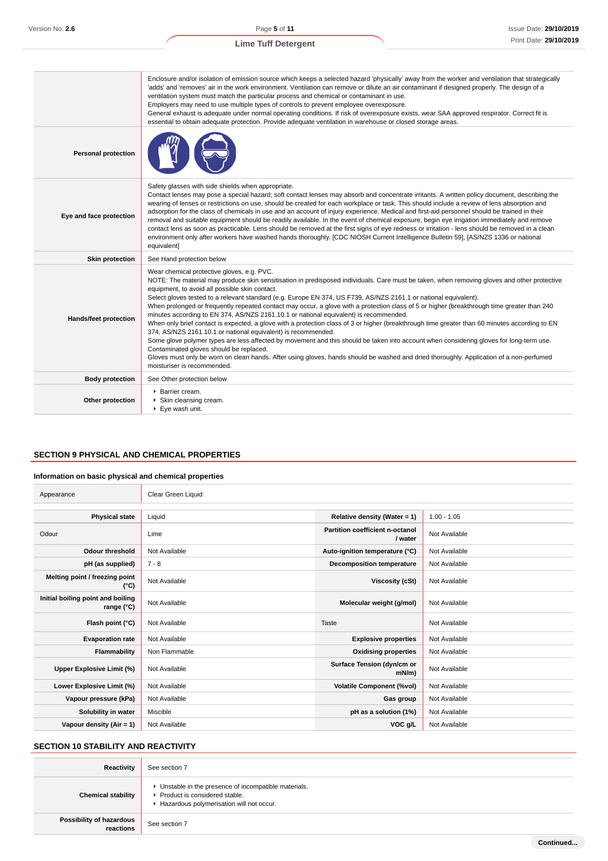|                            | Enclosure and/or isolation of emission source which keeps a selected hazard 'physically' away from the worker and ventilation that strategically<br>'adds' and 'removes' air in the work environment. Ventilation can remove or dilute an air contaminant if designed properly. The design of a<br>ventilation system must match the particular process and chemical or contaminant in use.<br>Employers may need to use multiple types of controls to prevent employee overexposure.<br>General exhaust is adequate under normal operating conditions. If risk of overexposure exists, wear SAA approved respirator. Correct fit is<br>essential to obtain adequate protection. Provide adequate ventilation in warehouse or closed storage areas.                                                                                                                                                                                                                                                                                                                                                                                                                                        |
|----------------------------|--------------------------------------------------------------------------------------------------------------------------------------------------------------------------------------------------------------------------------------------------------------------------------------------------------------------------------------------------------------------------------------------------------------------------------------------------------------------------------------------------------------------------------------------------------------------------------------------------------------------------------------------------------------------------------------------------------------------------------------------------------------------------------------------------------------------------------------------------------------------------------------------------------------------------------------------------------------------------------------------------------------------------------------------------------------------------------------------------------------------------------------------------------------------------------------------|
| <b>Personal protection</b> |                                                                                                                                                                                                                                                                                                                                                                                                                                                                                                                                                                                                                                                                                                                                                                                                                                                                                                                                                                                                                                                                                                                                                                                            |
| Eye and face protection    | Safety glasses with side shields when appropriate.<br>Contact lenses may pose a special hazard; soft contact lenses may absorb and concentrate irritants. A written policy document, describing the<br>wearing of lenses or restrictions on use, should be created for each workplace or task. This should include a review of lens absorption and<br>adsorption for the class of chemicals in use and an account of injury experience. Medical and first-aid personnel should be trained in their<br>removal and suitable equipment should be readily available. In the event of chemical exposure, begin eye irrigation immediately and remove<br>contact lens as soon as practicable. Lens should be removed at the first signs of eye redness or irritation - lens should be removed in a clean<br>environment only after workers have washed hands thoroughly. [CDC NIOSH Current Intelligence Bulletin 59], [AS/NZS 1336 or national<br>equivalent]                                                                                                                                                                                                                                  |
| <b>Skin protection</b>     | See Hand protection below                                                                                                                                                                                                                                                                                                                                                                                                                                                                                                                                                                                                                                                                                                                                                                                                                                                                                                                                                                                                                                                                                                                                                                  |
| Hands/feet protection      | Wear chemical protective gloves, e.g. PVC.<br>NOTE: The material may produce skin sensitisation in predisposed individuals. Care must be taken, when removing gloves and other protective<br>equipment, to avoid all possible skin contact.<br>Select gloves tested to a relevant standard (e.g. Europe EN 374, US F739, AS/NZS 2161.1 or national equivalent).<br>When prolonged or frequently repeated contact may occur, a glove with a protection class of 5 or higher (breakthrough time greater than 240<br>minutes according to EN 374, AS/NZS 2161.10.1 or national equivalent) is recommended.<br>When only brief contact is expected, a glove with a protection class of 3 or higher (breakthrough time greater than 60 minutes according to EN<br>374, AS/NZS 2161.10.1 or national equivalent) is recommended.<br>Some glove polymer types are less affected by movement and this should be taken into account when considering gloves for long-term use.<br>Contaminated gloves should be replaced.<br>Gloves must only be worn on clean hands. After using gloves, hands should be washed and dried thoroughly. Application of a non-perfumed<br>moisturiser is recommended. |
| <b>Body protection</b>     | See Other protection below                                                                                                                                                                                                                                                                                                                                                                                                                                                                                                                                                                                                                                                                                                                                                                                                                                                                                                                                                                                                                                                                                                                                                                 |
| Other protection           | ▶ Barrier cream.<br>Skin cleansing cream.<br>▶ Eye wash unit.                                                                                                                                                                                                                                                                                                                                                                                                                                                                                                                                                                                                                                                                                                                                                                                                                                                                                                                                                                                                                                                                                                                              |

# **SECTION 9 PHYSICAL AND CHEMICAL PROPERTIES**

٦

# **Information on basic physical and chemical properties**

| Appearance                                      | Clear Green Liquid |                                            |               |
|-------------------------------------------------|--------------------|--------------------------------------------|---------------|
|                                                 |                    |                                            |               |
| <b>Physical state</b>                           | Liquid             | Relative density (Water = 1)               | $1.00 - 1.05$ |
| Odour                                           | Lime               | Partition coefficient n-octanol<br>/ water | Not Available |
| <b>Odour threshold</b>                          | Not Available      | Auto-ignition temperature (°C)             | Not Available |
| pH (as supplied)                                | $7 - 8$            | <b>Decomposition temperature</b>           | Not Available |
| Melting point / freezing point<br>(°C)          | Not Available      | <b>Viscosity (cSt)</b>                     | Not Available |
| Initial boiling point and boiling<br>range (°C) | Not Available      | Molecular weight (g/mol)                   | Not Available |
| Flash point (°C)                                | Not Available      | Taste                                      | Not Available |
| <b>Evaporation rate</b>                         | Not Available      | <b>Explosive properties</b>                | Not Available |
| Flammability                                    | Non Flammable      | <b>Oxidising properties</b>                | Not Available |
| Upper Explosive Limit (%)                       | Not Available      | Surface Tension (dyn/cm or<br>mN/m         | Not Available |
| Lower Explosive Limit (%)                       | Not Available      | <b>Volatile Component (%vol)</b>           | Not Available |
| Vapour pressure (kPa)                           | Not Available      | Gas group                                  | Not Available |
| Solubility in water                             | Miscible           | pH as a solution (1%)                      | Not Available |
| Vapour density (Air = 1)                        | Not Available      | VOC g/L                                    | Not Available |

# **SECTION 10 STABILITY AND REACTIVITY**

| Reactivity                            | See section 7                                                                                                                        |
|---------------------------------------|--------------------------------------------------------------------------------------------------------------------------------------|
| <b>Chemical stability</b>             | • Unstable in the presence of incompatible materials.<br>▶ Product is considered stable.<br>Hazardous polymerisation will not occur. |
| Possibility of hazardous<br>reactions | See section 7                                                                                                                        |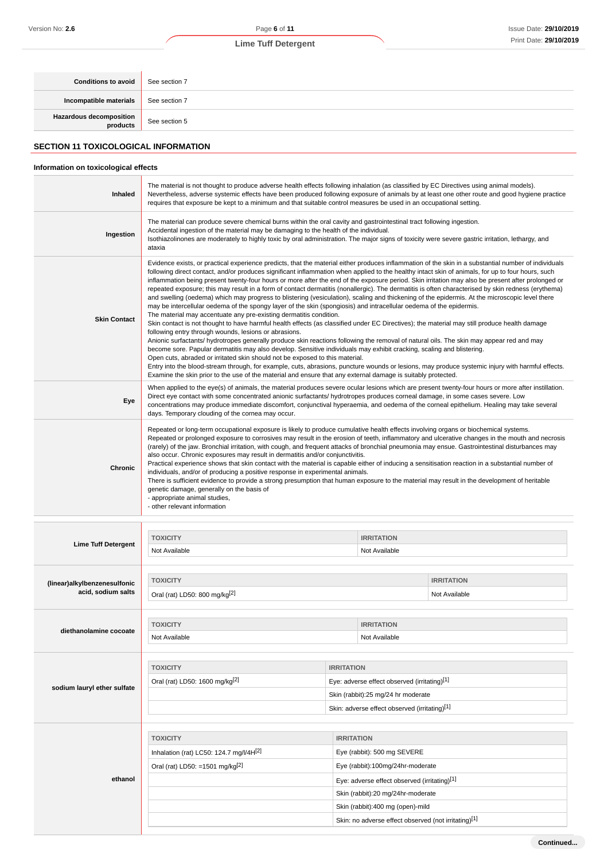| <b>Conditions to avoid</b>          | See section 7 |
|-------------------------------------|---------------|
| Incompatible materials              | See section 7 |
| Hazardous decomposition<br>products | See section 5 |

# **SECTION 11 TOXICOLOGICAL INFORMATION**

# **Information on toxicological effects**

| Inhaled                      | The material is not thought to produce adverse health effects following inhalation (as classified by EC Directives using animal models).<br>Nevertheless, adverse systemic effects have been produced following exposure of animals by at least one other route and good hygiene practice<br>requires that exposure be kept to a minimum and that suitable control measures be used in an occupational setting.                                                                                                                                                                                                                                                                                                                                                                                                                                                                                                                                                                                                                                                                                                                                                                                                                                                                                                                                                                                                                                                                                                                                                                                                                                                                                                                                                                                       |  |                                                                                          |                   |  |
|------------------------------|-------------------------------------------------------------------------------------------------------------------------------------------------------------------------------------------------------------------------------------------------------------------------------------------------------------------------------------------------------------------------------------------------------------------------------------------------------------------------------------------------------------------------------------------------------------------------------------------------------------------------------------------------------------------------------------------------------------------------------------------------------------------------------------------------------------------------------------------------------------------------------------------------------------------------------------------------------------------------------------------------------------------------------------------------------------------------------------------------------------------------------------------------------------------------------------------------------------------------------------------------------------------------------------------------------------------------------------------------------------------------------------------------------------------------------------------------------------------------------------------------------------------------------------------------------------------------------------------------------------------------------------------------------------------------------------------------------------------------------------------------------------------------------------------------------|--|------------------------------------------------------------------------------------------|-------------------|--|
| Ingestion                    | The material can produce severe chemical burns within the oral cavity and gastrointestinal tract following ingestion.<br>Accidental ingestion of the material may be damaging to the health of the individual.<br>Isothiazolinones are moderately to highly toxic by oral administration. The major signs of toxicity were severe gastric irritation, lethargy, and<br>ataxia                                                                                                                                                                                                                                                                                                                                                                                                                                                                                                                                                                                                                                                                                                                                                                                                                                                                                                                                                                                                                                                                                                                                                                                                                                                                                                                                                                                                                         |  |                                                                                          |                   |  |
| <b>Skin Contact</b>          | Evidence exists, or practical experience predicts, that the material either produces inflammation of the skin in a substantial number of individuals<br>following direct contact, and/or produces significant inflammation when applied to the healthy intact skin of animals, for up to four hours, such<br>inflammation being present twenty-four hours or more after the end of the exposure period. Skin irritation may also be present after prolonged or<br>repeated exposure; this may result in a form of contact dermatitis (nonallergic). The dermatitis is often characterised by skin redness (erythema)<br>and swelling (oedema) which may progress to blistering (vesiculation), scaling and thickening of the epidermis. At the microscopic level there<br>may be intercellular oedema of the spongy layer of the skin (spongiosis) and intracellular oedema of the epidermis.<br>The material may accentuate any pre-existing dermatitis condition.<br>Skin contact is not thought to have harmful health effects (as classified under EC Directives); the material may still produce health damage<br>following entry through wounds, lesions or abrasions.<br>Anionic surfactants/ hydrotropes generally produce skin reactions following the removal of natural oils. The skin may appear red and may<br>become sore. Papular dermatitis may also develop. Sensitive individuals may exhibit cracking, scaling and blistering.<br>Open cuts, abraded or irritated skin should not be exposed to this material.<br>Entry into the blood-stream through, for example, cuts, abrasions, puncture wounds or lesions, may produce systemic injury with harmful effects.<br>Examine the skin prior to the use of the material and ensure that any external damage is suitably protected. |  |                                                                                          |                   |  |
| Eye                          | When applied to the eye(s) of animals, the material produces severe ocular lesions which are present twenty-four hours or more after instillation.<br>Direct eye contact with some concentrated anionic surfactants/ hydrotropes produces corneal damage, in some cases severe. Low<br>concentrations may produce immediate discomfort, conjunctival hyperaemia, and oedema of the corneal epithelium. Healing may take several<br>days. Temporary clouding of the cornea may occur.                                                                                                                                                                                                                                                                                                                                                                                                                                                                                                                                                                                                                                                                                                                                                                                                                                                                                                                                                                                                                                                                                                                                                                                                                                                                                                                  |  |                                                                                          |                   |  |
| <b>Chronic</b>               | Repeated or long-term occupational exposure is likely to produce cumulative health effects involving organs or biochemical systems.<br>Repeated or prolonged exposure to corrosives may result in the erosion of teeth, inflammatory and ulcerative changes in the mouth and necrosis<br>(rarely) of the jaw. Bronchial irritation, with cough, and frequent attacks of bronchial pneumonia may ensue. Gastrointestinal disturbances may<br>also occur. Chronic exposures may result in dermatitis and/or conjunctivitis.<br>Practical experience shows that skin contact with the material is capable either of inducing a sensitisation reaction in a substantial number of<br>individuals, and/or of producing a positive response in experimental animals.<br>There is sufficient evidence to provide a strong presumption that human exposure to the material may result in the development of heritable<br>genetic damage, generally on the basis of<br>- appropriate animal studies,<br>- other relevant information                                                                                                                                                                                                                                                                                                                                                                                                                                                                                                                                                                                                                                                                                                                                                                           |  |                                                                                          |                   |  |
| <b>Lime Tuff Detergent</b>   | <b>TOXICITY</b><br><b>IRRITATION</b><br>Not Available                                                                                                                                                                                                                                                                                                                                                                                                                                                                                                                                                                                                                                                                                                                                                                                                                                                                                                                                                                                                                                                                                                                                                                                                                                                                                                                                                                                                                                                                                                                                                                                                                                                                                                                                                 |  | Not Available                                                                            |                   |  |
|                              |                                                                                                                                                                                                                                                                                                                                                                                                                                                                                                                                                                                                                                                                                                                                                                                                                                                                                                                                                                                                                                                                                                                                                                                                                                                                                                                                                                                                                                                                                                                                                                                                                                                                                                                                                                                                       |  |                                                                                          |                   |  |
| (linear)alkylbenzenesulfonic | <b>TOXICITY</b>                                                                                                                                                                                                                                                                                                                                                                                                                                                                                                                                                                                                                                                                                                                                                                                                                                                                                                                                                                                                                                                                                                                                                                                                                                                                                                                                                                                                                                                                                                                                                                                                                                                                                                                                                                                       |  |                                                                                          | <b>IRRITATION</b> |  |
| acid, sodium salts           | Oral (rat) LD50: 800 mg/kg <sup>[2]</sup>                                                                                                                                                                                                                                                                                                                                                                                                                                                                                                                                                                                                                                                                                                                                                                                                                                                                                                                                                                                                                                                                                                                                                                                                                                                                                                                                                                                                                                                                                                                                                                                                                                                                                                                                                             |  |                                                                                          | Not Available     |  |
|                              | <b>TOXICITY</b>                                                                                                                                                                                                                                                                                                                                                                                                                                                                                                                                                                                                                                                                                                                                                                                                                                                                                                                                                                                                                                                                                                                                                                                                                                                                                                                                                                                                                                                                                                                                                                                                                                                                                                                                                                                       |  | <b>IRRITATION</b>                                                                        |                   |  |
| diethanolamine cocoate       | Not Available                                                                                                                                                                                                                                                                                                                                                                                                                                                                                                                                                                                                                                                                                                                                                                                                                                                                                                                                                                                                                                                                                                                                                                                                                                                                                                                                                                                                                                                                                                                                                                                                                                                                                                                                                                                         |  | Not Available                                                                            |                   |  |
| sodium lauryl ether sulfate  | <b>TOXICITY</b><br><b>IRRITATION</b><br>Oral (rat) LD50: 1600 mg/kg <sup>[2]</sup><br>Eye: adverse effect observed (irritating)[1]<br>Skin (rabbit):25 mg/24 hr moderate<br>Skin: adverse effect observed (irritating)[1]                                                                                                                                                                                                                                                                                                                                                                                                                                                                                                                                                                                                                                                                                                                                                                                                                                                                                                                                                                                                                                                                                                                                                                                                                                                                                                                                                                                                                                                                                                                                                                             |  |                                                                                          |                   |  |
|                              | <b>TOXICITY</b><br>Inhalation (rat) LC50: 124.7 mg/l/4H[2]<br>Oral (rat) LD50: =1501 mg/kg <sup>[2]</sup>                                                                                                                                                                                                                                                                                                                                                                                                                                                                                                                                                                                                                                                                                                                                                                                                                                                                                                                                                                                                                                                                                                                                                                                                                                                                                                                                                                                                                                                                                                                                                                                                                                                                                             |  | <b>IRRITATION</b><br>Eye (rabbit): 500 mg SEVERE<br>Eye (rabbit):100mg/24hr-moderate     |                   |  |
| ethanol                      |                                                                                                                                                                                                                                                                                                                                                                                                                                                                                                                                                                                                                                                                                                                                                                                                                                                                                                                                                                                                                                                                                                                                                                                                                                                                                                                                                                                                                                                                                                                                                                                                                                                                                                                                                                                                       |  | Eye: adverse effect observed (irritating)[1]                                             |                   |  |
|                              |                                                                                                                                                                                                                                                                                                                                                                                                                                                                                                                                                                                                                                                                                                                                                                                                                                                                                                                                                                                                                                                                                                                                                                                                                                                                                                                                                                                                                                                                                                                                                                                                                                                                                                                                                                                                       |  | Skin (rabbit):20 mg/24hr-moderate                                                        |                   |  |
|                              |                                                                                                                                                                                                                                                                                                                                                                                                                                                                                                                                                                                                                                                                                                                                                                                                                                                                                                                                                                                                                                                                                                                                                                                                                                                                                                                                                                                                                                                                                                                                                                                                                                                                                                                                                                                                       |  | Skin (rabbit):400 mg (open)-mild<br>Skin: no adverse effect observed (not irritating)[1] |                   |  |
|                              |                                                                                                                                                                                                                                                                                                                                                                                                                                                                                                                                                                                                                                                                                                                                                                                                                                                                                                                                                                                                                                                                                                                                                                                                                                                                                                                                                                                                                                                                                                                                                                                                                                                                                                                                                                                                       |  |                                                                                          |                   |  |
|                              |                                                                                                                                                                                                                                                                                                                                                                                                                                                                                                                                                                                                                                                                                                                                                                                                                                                                                                                                                                                                                                                                                                                                                                                                                                                                                                                                                                                                                                                                                                                                                                                                                                                                                                                                                                                                       |  |                                                                                          | Continued         |  |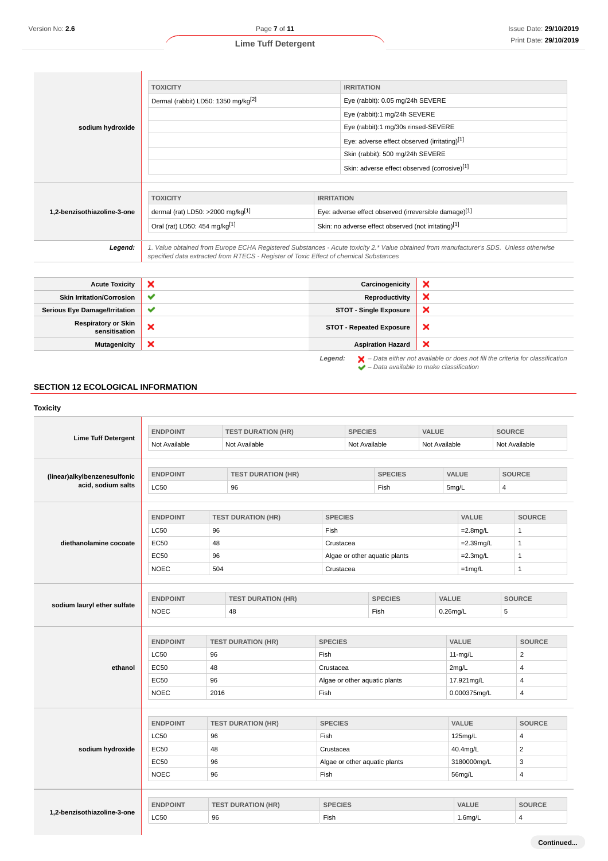| <b>IRRITATION</b>                                                                                                                                                                                                               |
|---------------------------------------------------------------------------------------------------------------------------------------------------------------------------------------------------------------------------------|
| Dermal (rabbit) LD50: 1350 mg/kg <sup>[2]</sup><br>Eye (rabbit): 0.05 mg/24h SEVERE                                                                                                                                             |
| Eye (rabbit):1 mg/24h SEVERE                                                                                                                                                                                                    |
| Eye (rabbit):1 mg/30s rinsed-SEVERE                                                                                                                                                                                             |
| Eye: adverse effect observed (irritating)[1]                                                                                                                                                                                    |
| Skin (rabbit): 500 mg/24h SEVERE                                                                                                                                                                                                |
| Skin: adverse effect observed (corrosive)[1]                                                                                                                                                                                    |
|                                                                                                                                                                                                                                 |
| <b>IRRITATION</b>                                                                                                                                                                                                               |
| dermal (rat) LD50: $>2000$ mg/kg <sup>[1]</sup><br>Eye: adverse effect observed (irreversible damage)[1]                                                                                                                        |
| Skin: no adverse effect observed (not irritating)[1]                                                                                                                                                                            |
|                                                                                                                                                                                                                                 |
| 1. Value obtained from Europe ECHA Registered Substances - Acute toxicity 2.* Value obtained from manufacturer's SDS. Unless otherwise<br>specified data extracted from RTECS - Register of Toxic Effect of chemical Substances |
| Oral (rat) LD50: 454 mg/kg[1]                                                                                                                                                                                                   |

| <b>Acute Toxicity</b>                       | $\boldsymbol{\mathsf{x}}$ | Carcinogenicity                 | ×                                                                                                                                                                   |
|---------------------------------------------|---------------------------|---------------------------------|---------------------------------------------------------------------------------------------------------------------------------------------------------------------|
| <b>Skin Irritation/Corrosion</b>            | $\checkmark$              | Reproductivity                  | ×                                                                                                                                                                   |
| <b>Serious Eye Damage/Irritation</b>        | $\checkmark$              | <b>STOT - Single Exposure</b>   | ×                                                                                                                                                                   |
| <b>Respiratory or Skin</b><br>sensitisation | ×                         | <b>STOT - Repeated Exposure</b> | ×                                                                                                                                                                   |
| <b>Mutagenicity</b>                         | $\boldsymbol{\mathsf{x}}$ | <b>Aspiration Hazard</b>        | ×                                                                                                                                                                   |
|                                             |                           | Legend:                         | $\blacktriangleright$ - Data either not available or does not fill the criteria for classification<br>$\blacktriangleright$ - Data available to make classification |

# **SECTION 12 ECOLOGICAL INFORMATION**

|                              | <b>ENDPOINT</b> |                           | <b>TEST DURATION (HR)</b> |                | <b>SPECIES</b> | VALUE                         |             |              | <b>SOURCE</b> |                         |
|------------------------------|-----------------|---------------------------|---------------------------|----------------|----------------|-------------------------------|-------------|--------------|---------------|-------------------------|
| <b>Lime Tuff Detergent</b>   | Not Available   |                           | Not Available             |                | Not Available  | Not Available                 |             |              | Not Available |                         |
| (linear)alkylbenzenesulfonic | <b>ENDPOINT</b> |                           | <b>TEST DURATION (HR)</b> |                |                | <b>SPECIES</b>                |             | <b>VALUE</b> |               | <b>SOURCE</b>           |
| acid, sodium salts           | <b>LC50</b>     |                           | 96                        |                |                | Fish                          |             | 5mg/L        |               | $\overline{4}$          |
|                              | <b>ENDPOINT</b> |                           | <b>TEST DURATION (HR)</b> | <b>SPECIES</b> |                |                               |             | <b>VALUE</b> |               | <b>SOURCE</b>           |
|                              | <b>LC50</b>     | 96                        |                           | Fish           |                |                               |             |              | $=2.8$ mg/L   | $\mathbf{1}$            |
| diethanolamine cocoate       | EC50            | 48                        |                           | Crustacea      |                |                               |             |              | $=2.39$ mg/L  | $\mathbf{1}$            |
|                              | EC50            | 96                        |                           |                |                | Algae or other aquatic plants |             |              | $=2.3$ mg/L   | $\mathbf{1}$            |
|                              | <b>NOEC</b>     | 504                       |                           | Crustacea      |                |                               |             | $=1$ mg/L    |               | $\mathbf{1}$            |
|                              |                 |                           |                           |                |                |                               |             |              |               |                         |
|                              | <b>ENDPOINT</b> | <b>TEST DURATION (HR)</b> |                           |                |                | <b>SPECIES</b>                |             | <b>VALUE</b> |               | <b>SOURCE</b>           |
| sodium lauryl ether sulfate  | <b>NOEC</b>     | 48                        |                           |                | Fish           |                               | $0.26$ mg/L | 5            |               |                         |
|                              |                 |                           |                           |                |                |                               |             |              |               |                         |
|                              | <b>ENDPOINT</b> |                           |                           |                |                |                               |             |              |               |                         |
|                              |                 |                           | <b>TEST DURATION (HR)</b> | <b>SPECIES</b> |                |                               |             | <b>VALUE</b> |               | <b>SOURCE</b>           |
|                              | <b>LC50</b>     | 96                        |                           | Fish           |                |                               |             | $11-mg/L$    |               | $\overline{2}$          |
| ethanol                      | EC50            | 48                        |                           | Crustacea      |                |                               |             | 2mg/L        |               | $\overline{4}$          |
|                              | <b>EC50</b>     | 96                        |                           |                |                | Algae or other aquatic plants |             | 17.921mg/L   |               | $\overline{4}$          |
|                              | <b>NOEC</b>     | 2016                      |                           | Fish           |                |                               |             | 0.000375mg/L |               | $\overline{4}$          |
|                              |                 |                           |                           |                |                |                               |             |              |               |                         |
|                              | <b>ENDPOINT</b> |                           | <b>TEST DURATION (HR)</b> | <b>SPECIES</b> |                |                               |             | <b>VALUE</b> |               | <b>SOURCE</b>           |
|                              | <b>LC50</b>     | 96                        |                           | Fish           |                |                               |             | 125mg/L      |               | $\overline{\mathbf{4}}$ |
| sodium hydroxide             | <b>EC50</b>     | 48                        |                           | Crustacea      |                |                               |             | 40.4mg/L     |               | $\overline{2}$          |
|                              | <b>EC50</b>     | 96                        |                           |                |                | Algae or other aquatic plants |             | 3180000mg/L  |               | 3                       |
|                              | <b>NOEC</b>     | 96                        |                           | Fish           |                |                               |             | 56mg/L       |               | $\overline{4}$          |
|                              | <b>ENDPOINT</b> |                           | <b>TEST DURATION (HR)</b> | <b>SPECIES</b> |                |                               |             | <b>VALUE</b> |               | <b>SOURCE</b>           |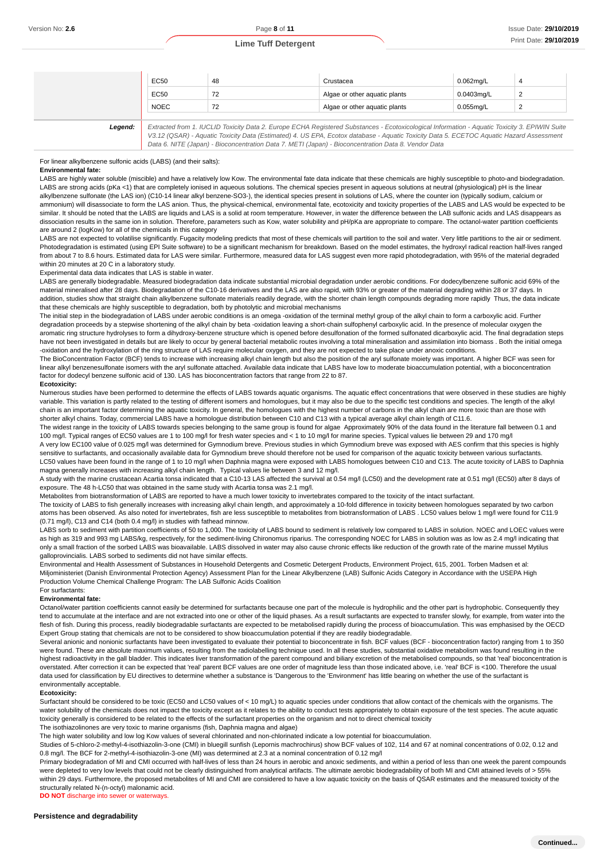|         | EC50        | 48 | Crustacea                                                                                                                                                                                                                                                                          | $0.062$ mg/L |  |
|---------|-------------|----|------------------------------------------------------------------------------------------------------------------------------------------------------------------------------------------------------------------------------------------------------------------------------------|--------------|--|
|         | EC50        | 72 | Algae or other aguatic plants                                                                                                                                                                                                                                                      | 0.0403mg/L   |  |
|         | <b>NOEC</b> | 72 | Algae or other aguatic plants                                                                                                                                                                                                                                                      | $0.055$ mg/L |  |
|         |             |    |                                                                                                                                                                                                                                                                                    |              |  |
| Legend: |             |    | Extracted from 1. IUCLID Toxicity Data 2. Europe ECHA Registered Substances - Ecotoxicological Information - Aquatic Toxicity 3. EPIWIN Suite<br>1/2 12 (OSAD) Aquatio Tovinity Data (Estimated) A US EDA Ecotor database Aquatio Tovinity Data E ECETOC Aquatio Hazard Assosomant |              |  |

V3.12 (QSAR) - Aquatic Toxicity Data (Estimated) 4. US EPA, Ecotox database - Aquatic Toxicity Data 5. ECETOC Aquatic Hazard Assessment Data 6. NITE (Japan) - Bioconcentration Data 7. METI (Japan) - Bioconcentration Data 8. Vendor Data

For linear alkylbenzene sulfonic acids (LABS) (and their salts):

#### **Environmental fate:**

LABS are highly water soluble (miscible) and have a relatively low Kow. The environmental fate data indicate that these chemicals are highly susceptible to photo-and biodegradation. LABS are strong acids (pKa <1) that are completely ionised in aqueous solutions. The chemical species present in aqueous solutions at neutral (physiological) pH is the linear alkylbenzene sulfonate (the LAS ion) (C10-14 linear alkyl benzene-SO3-), the identical species present in solutions of LAS, where the counter ion (typically sodium, calcium or ammonium) will disassociate to form the LAS anion. Thus, the physical-chemical, environmental fate, ecotoxicity and toxicity properties of the LABS and LAS would be expected to be similar. It should be noted that the LABS are liquids and LAS is a solid at room temperature. However, in water the difference between the LAB sulfonic acids and LAS disappears as dissociation results in the same ion in solution. Therefore, parameters such as Kow, water solubility and pH/pKa are appropriate to compare. The octanol-water partition coefficients are around 2 (logKow) for all of the chemicals in this category

LABS are not expected to volatilise significantly. Fugacity modeling predicts that most of these chemicals will partition to the soil and water. Very little partitions to the air or sediment. Photodegradation is estimated (using EPI Suite software) to be a significant mechanism for breakdown. Based on the model estimates, the hydroxyl radical reaction half-lives ranged from about 7 to 8.6 hours. Estimated data for LAS were similar. Furthermore, measured data for LAS suggest even more rapid photodegradation, with 95% of the material degraded within 20 minutes at 20 C in a laboratory study.

Experimental data data indicates that LAS is stable in water.

LABS are generally biodegradable. Measured biodegradation data indicate substantial microbial degradation under aerobic conditions. For dodecylbenzene sulfonic acid 69% of the material mineralised after 28 days. Biodegradation of the C10-16 derivatives and the LAS are also rapid, with 93% or greater of the material degrading within 28 or 37 days. In addition, studies show that straight chain alkylbenzene sulfonate materials readily degrade, with the shorter chain length compounds degrading more rapidly Thus, the data indicate that these chemicals are highly susceptible to degradation, both by photolytic and microbial mechanisms

The initial step in the biodegradation of LABS under aerobic conditions is an omega -oxidation of the terminal methyl group of the alkyl chain to form a carboxylic acid. Further degradation proceeds by a stepwise shortening of the alkyl chain by beta -oxidation leaving a short-chain sulfophenyl carboxylic acid. In the presence of molecular oxygen the aromatic ring structure hydrolyses to form a dihydroxy-benzene structure which is opened before desulfonation of the formed sulfonated dicarboxylic acid. The final degradation steps have not been investigated in details but are likely to occur by general bacterial metabolic routes involving a total mineralisation and assimilation into biomass . Both the initial omega -oxidation and the hydroxylation of the ring structure of LAS require molecular oxygen, and they are not expected to take place under anoxic conditions.

The BioConcentration Factor (BCF) tends to increase with increasing alkyl chain length but also the position of the aryl sulfonate moiety was important. A higher BCF was seen for linear alkyl benzenesulfonate isomers with the aryl sulfonate attached. Available data indicate that LABS have low to moderate bioaccumulation potential, with a bioconcentration factor for dodecyl benzene sulfonic acid of 130. LAS has bioconcentration factors that range from 22 to 87.

#### **Ecotoxicity:**

Numerous studies have been performed to determine the effects of LABS towards aquatic organisms. The aquatic effect concentrations that were observed in these studies are highly variable. This variation is partly related to the testing of different isomers and homologues, but it may also be due to the specific test conditions and species. The length of the alkyl chain is an important factor determining the aquatic toxicity. In general, the homologues with the highest number of carbons in the alkyl chain are more toxic than are those with shorter alkyl chains. Today, commercial LABS have a homologue distribution between C10 and C13 with a typical average alkyl chain length of C11.6.

The widest range in the toxicity of LABS towards species belonging to the same group is found for algae Approximately 90% of the data found in the literature fall between 0.1 and 100 mg/l. Typical ranges of EC50 values are 1 to 100 mg/l for fresh water species and < 1 to 10 mg/l for marine species. Typical values lie between 29 and 170 mg/l

A very low EC100 value of 0.025 mg/l was determined for Gymnodium breve. Previous studies in which Gymnodium breve was exposed with AES confirm that this species is highly sensitive to surfactants, and occasionally available data for Gymnodium breve should therefore not be used for comparison of the aquatic toxicity between various surfactants LC50 values have been found in the range of 1 to 10 mg/l when Daphnia magna were exposed with LABS homologues between C10 and C13. The acute toxicity of LABS to Daphnia magna generally increases with increasing alkyl chain length. Typical values lie between 3 and 12 mg/l.

A study with the marine crustacean Acartia tonsa indicated that a C10-13 LAS affected the survival at 0.54 mg/l (LC50) and the development rate at 0.51 mg/l (EC50) after 8 days of exposure. The 48 h-LC50 that was obtained in the same study with Acartia tonsa was 2.1 mg/l.

Metabolites from biotransformation of LABS are reported to have a much lower toxicity to invertebrates compared to the toxicity of the intact surfactant.

The toxicity of LABS to fish generally increases with increasing alkyl chain length, and approximately a 10-fold difference in toxicity between homologues separated by two carbon atoms has been observed. As also noted for invertebrates, fish are less susceptible to metabolites from biotransformation of LABS . LC50 values below 1 mg/l were found for C11.9 (0.71 mg/l), C13 and C14 (both 0.4 mg/l) in studies with fathead minnow.

LABS sorb to sediment with partition coefficients of 50 to 1,000. The toxicity of LABS bound to sediment is relatively low compared to LABS in solution. NOEC and LOEC values were as high as 319 and 993 mg LABS/kg, respectively, for the sediment-living Chironomus riparius. The corresponding NOEC for LABS in solution was as low as 2.4 mg/l indicating that only a small fraction of the sorbed LABS was bioavailable. LABS dissolved in water may also cause chronic effects like reduction of the growth rate of the marine mussel Mytilus galloprovincialis. LABS sorbed to sediments did not have similar effects.

Environmental and Health Assessment of Substances in Household Detergents and Cosmetic Detergent Products, Environment Project, 615, 2001. Torben Madsen et al: Miljoministeriet (Danish Environmental Protection Agency) Assessment Plan for the Linear Alkylbenzene (LAB) Sulfonic Acids Category in Accordance with the USEPA High Production Volume Chemical Challenge Program: The LAB Sulfonic Acids Coalition For surfactants:

#### **Environmental fate:**

Octanol/water partition coefficients cannot easily be determined for surfactants because one part of the molecule is hydrophilic and the other part is hydrophobic. Consequently they tend to accumulate at the interface and are not extracted into one or other of the liquid phases. As a result surfactants are expected to transfer slowly, for example, from water into the flesh of fish. During this process, readily biodegradable surfactants are expected to be metabolised rapidly during the process of bioaccumulation. This was emphasised by the OECD Expert Group stating that chemicals are not to be considered to show bioaccumulation potential if they are readily biodegradable.

Several anionic and nonionic surfactants have been investigated to evaluate their potential to bioconcentrate in fish. BCF values (BCF - bioconcentration factor) ranging from 1 to 350 were found. These are absolute maximum values, resulting from the radiolabelling technique used. In all these studies, substantial oxidative metabolism was found resulting in the highest radioactivity in the gall bladder. This indicates liver transformation of the parent compound and biliary excretion of the metabolised compounds, so that 'real' bioconcentration is overstated. After correction it can be expected that 'real' parent BCF values are one order of magnitude less than those indicated above, i.e. 'real' BCF is <100. Therefore the usual data used for classification by EU directives to determine whether a substance is 'Dangerous to the 'Environment' has little bearing on whether the use of the surfactant is environmentally acceptable.

#### **Ecotoxicity:**

Surfactant should be considered to be toxic (EC50 and LC50 values of < 10 mg/L) to aquatic species under conditions that allow contact of the chemicals with the organisms. The water solubility of the chemicals does not impact the toxicity except as it relates to the ability to conduct tests appropriately to obtain exposure of the test species. The acute aquatic toxicity generally is considered to be related to the effects of the surfactant properties on the organism and not to direct chemical toxicity The isothiazolinones are very toxic to marine organisms (fish, Daphnia magna and algae)

The high water solubility and low log Kow values of several chlorinated and non-chlorinated indicate a low potential for bioaccumulation.

Studies of 5-chloro-2-methyl-4-isothiazolin-3-one (CMI) in bluegill sunfish (Lepornis machrochirus) show BCF values of 102, 114 and 67 at nominal concentrations of 0.02, 0.12 and 0.8 mg/l. The BCF for 2-methyl-4-isothiazolin-3-one (MI) was determined at 2.3 at a nominal concentration of 0.12 mg/l

Primary biodegradation of MI and CMI occurred with half-lives of less than 24 hours in aerobic and anoxic sediments, and within a period of less than one week the parent compounds were depleted to very low levels that could not be clearly distinguished from analytical artifacts. The ultimate aerobic biodegradability of both MI and CMI attained levels of > 55% within 29 days. Furthermore, the proposed metabolites of MI and CMI are considered to have a low aquatic toxicity on the basis of QSAR estimates and the measured toxicity of the structurally related N-(n-octyl) malonamic acid.

**DO NOT** discharge into sewer or waterways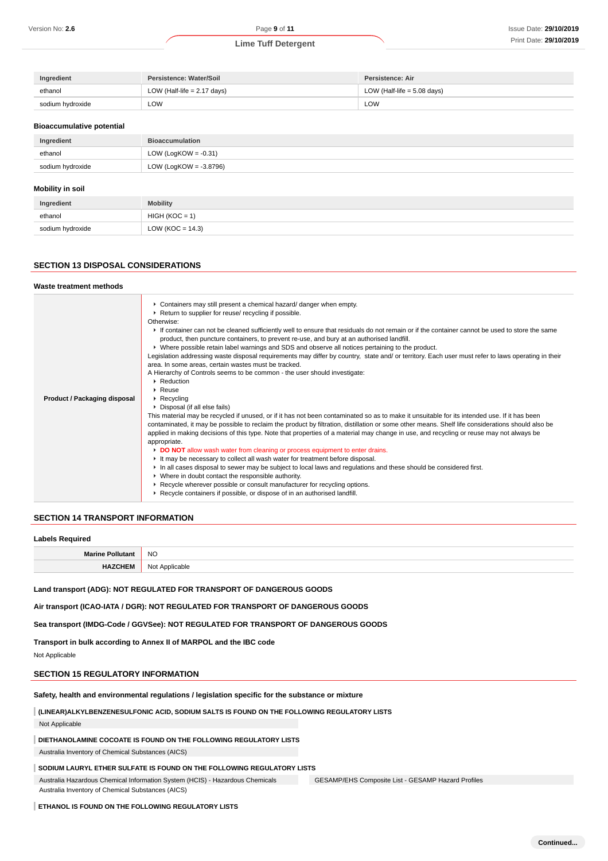| Ingredient       | Persistence: Water/Soil       | Persistence: Air              |
|------------------|-------------------------------|-------------------------------|
| ethanol          | LOW (Half-life $= 2.17$ days) | LOW (Half-life $= 5.08$ days) |
| sodium hvdroxide | LOW                           | LOW                           |

#### **Bioaccumulative potential**

| Ingredient       | <b>Bioaccumulation</b>    |
|------------------|---------------------------|
| ethanol          | LOW (LogKOW = $-0.31$ )   |
| sodium hydroxide | LOW (LogKOW = $-3.8796$ ) |
|                  |                           |

# **Mobility in soil**

| Ingredient       | <b>Mobility</b>      |
|------------------|----------------------|
| ethanol          | $HIGH (KOC = 1)$     |
| sodium hydroxide | LOW ( $KOC = 14.3$ ) |

# **SECTION 13 DISPOSAL CONSIDERATIONS**

| Waste treatment methods      |                                                                                                                                                                                                                                                                                                                                                                                                                                                                                                                                                                                                                                                                                                                                                                                                                                                                                                                                                                                                                                                                                                                                                                                                                                                                                                                                                                                                                                                                                                                                                                                                                                                                                                                                                                                                                                                                          |
|------------------------------|--------------------------------------------------------------------------------------------------------------------------------------------------------------------------------------------------------------------------------------------------------------------------------------------------------------------------------------------------------------------------------------------------------------------------------------------------------------------------------------------------------------------------------------------------------------------------------------------------------------------------------------------------------------------------------------------------------------------------------------------------------------------------------------------------------------------------------------------------------------------------------------------------------------------------------------------------------------------------------------------------------------------------------------------------------------------------------------------------------------------------------------------------------------------------------------------------------------------------------------------------------------------------------------------------------------------------------------------------------------------------------------------------------------------------------------------------------------------------------------------------------------------------------------------------------------------------------------------------------------------------------------------------------------------------------------------------------------------------------------------------------------------------------------------------------------------------------------------------------------------------|
| Product / Packaging disposal | Containers may still present a chemical hazard/ danger when empty.<br>Return to supplier for reuse/ recycling if possible.<br>Otherwise:<br>If container can not be cleaned sufficiently well to ensure that residuals do not remain or if the container cannot be used to store the same<br>product, then puncture containers, to prevent re-use, and bury at an authorised landfill.<br>▶ Where possible retain label warnings and SDS and observe all notices pertaining to the product.<br>Legislation addressing waste disposal requirements may differ by country, state and/ or territory. Each user must refer to laws operating in their<br>area. In some areas, certain wastes must be tracked.<br>A Hierarchy of Controls seems to be common - the user should investigate:<br>Reduction<br>$\blacktriangleright$ Reuse<br>$\triangleright$ Recycling<br>▶ Disposal (if all else fails)<br>This material may be recycled if unused, or if it has not been contaminated so as to make it unsuitable for its intended use. If it has been<br>contaminated, it may be possible to reclaim the product by filtration, distillation or some other means. Shelf life considerations should also be<br>applied in making decisions of this type. Note that properties of a material may change in use, and recycling or reuse may not always be<br>appropriate.<br>DO NOT allow wash water from cleaning or process equipment to enter drains.<br>It may be necessary to collect all wash water for treatment before disposal.<br>In all cases disposal to sewer may be subject to local laws and regulations and these should be considered first.<br>▶ Where in doubt contact the responsible authority.<br>▶ Recycle wherever possible or consult manufacturer for recycling options.<br>Recycle containers if possible, or dispose of in an authorised landfill. |

# **SECTION 14 TRANSPORT INFORMATION**

# **Labels Required**

| Marine          | <b>NO</b><br>__                          |
|-----------------|------------------------------------------|
| ᆸ៱<br>_________ | .,<br>$-1$<br>anla<br>$-11.50$<br>w<br>. |

**Land transport (ADG): NOT REGULATED FOR TRANSPORT OF DANGEROUS GOODS**

**Air transport (ICAO-IATA / DGR): NOT REGULATED FOR TRANSPORT OF DANGEROUS GOODS**

**Sea transport (IMDG-Code / GGVSee): NOT REGULATED FOR TRANSPORT OF DANGEROUS GOODS**

**Transport in bulk according to Annex II of MARPOL and the IBC code**

Not Applicable

**SECTION 15 REGULATORY INFORMATION**

**Safety, health and environmental regulations / legislation specific for the substance or mixture**

**(LINEAR)ALKYLBENZENESULFONIC ACID, SODIUM SALTS IS FOUND ON THE FOLLOWING REGULATORY LISTS** Not Applicable

**DIETHANOLAMINE COCOATE IS FOUND ON THE FOLLOWING REGULATORY LISTS** Australia Inventory of Chemical Substances (AICS)

**SODIUM LAURYL ETHER SULFATE IS FOUND ON THE FOLLOWING REGULATORY LISTS**

Australia Hazardous Chemical Information System (HCIS) - Hazardous Chemicals GESAMP/EHS Composite List - GESAMP Hazard Profiles Australia Inventory of Chemical Substances (AICS)

**ETHANOL IS FOUND ON THE FOLLOWING REGULATORY LISTS**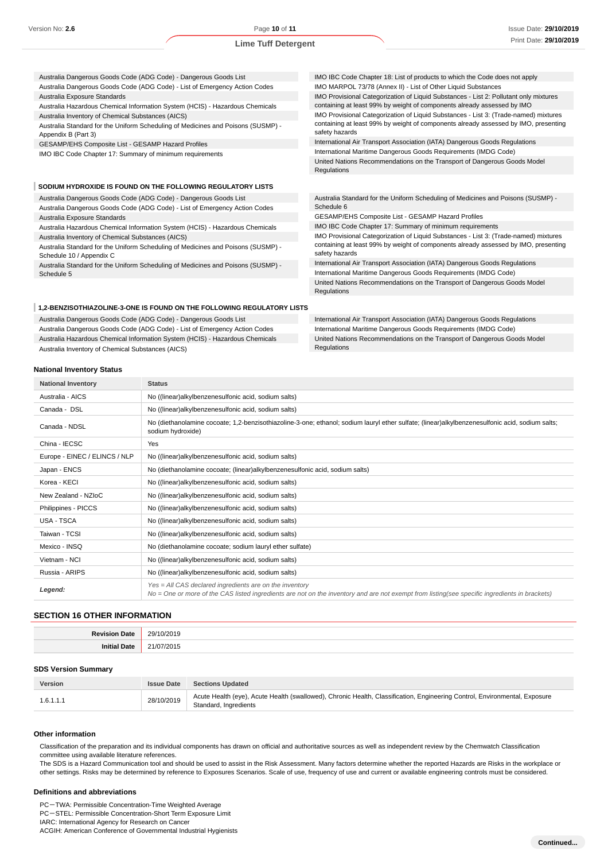| Australia Dangerous Goods Code (ADG Code) - Dangerous Goods List                                             | IMO IBC Code Chapter 18: List of products to which the Code does not apply                            |
|--------------------------------------------------------------------------------------------------------------|-------------------------------------------------------------------------------------------------------|
| Australia Dangerous Goods Code (ADG Code) - List of Emergency Action Codes                                   | IMO MARPOL 73/78 (Annex II) - List of Other Liquid Substances                                         |
| Australia Exposure Standards                                                                                 | IMO Provisional Categorization of Liquid Substances - List 2: Pollutant only mixtures                 |
| Australia Hazardous Chemical Information System (HCIS) - Hazardous Chemicals                                 | containing at least 99% by weight of components already assessed by IMO                               |
| Australia Inventory of Chemical Substances (AICS)                                                            | IMO Provisional Categorization of Liquid Substances - List 3: (Trade-named) mixtures                  |
| Australia Standard for the Uniform Scheduling of Medicines and Poisons (SUSMP) -<br>Appendix B (Part 3)      | containing at least 99% by weight of components already assessed by IMO, presenting<br>safety hazards |
| GESAMP/EHS Composite List - GESAMP Hazard Profiles                                                           | International Air Transport Association (IATA) Dangerous Goods Regulations                            |
| IMO IBC Code Chapter 17: Summary of minimum requirements                                                     | International Maritime Dangerous Goods Requirements (IMDG Code)                                       |
|                                                                                                              | United Nations Recommendations on the Transport of Dangerous Goods Model<br>Regulations               |
| SODIUM HYDROXIDE IS FOUND ON THE FOLLOWING REGULATORY LISTS                                                  |                                                                                                       |
| Australia Dangerous Goods Code (ADG Code) - Dangerous Goods List                                             | Australia Standard for the Uniform Scheduling of Medicines and Poisons (SUSMP) -                      |
| Australia Dangerous Goods Code (ADG Code) - List of Emergency Action Codes                                   | Schedule 6                                                                                            |
| Australia Exposure Standards                                                                                 | GESAMP/EHS Composite List - GESAMP Hazard Profiles                                                    |
| Australia Hazardous Chemical Information System (HCIS) - Hazardous Chemicals                                 | IMO IBC Code Chapter 17: Summary of minimum requirements                                              |
| Australia Inventory of Chemical Substances (AICS)                                                            | IMO Provisional Categorization of Liquid Substances - List 3: (Trade-named) mixtures                  |
| Australia Standard for the Uniform Scheduling of Medicines and Poisons (SUSMP) -<br>Schedule 10 / Appendix C | containing at least 99% by weight of components already assessed by IMO, presenting<br>safety hazards |
| Australia Standard for the Uniform Scheduling of Medicines and Poisons (SUSMP) -                             | International Air Transport Association (IATA) Dangerous Goods Regulations                            |
| Schedule 5                                                                                                   | International Maritime Dangerous Goods Requirements (IMDG Code)                                       |
|                                                                                                              | United Nations Recommendations on the Transport of Dangerous Goods Model<br>Regulations               |
| <b>4.3 DENZICOTHIAZOLINE 3. ONE IS EQUIND ON THE EQUI OWING DEGULATORY LISTS</b>                             |                                                                                                       |

#### **1,2-BENZISOTHIAZOLINE-3-ONE IS FOUND ON THE FOLLOWING REGULATORY LISTS**

Australia Dangerous Goods Code (ADG Code) - Dangerous Goods List Australia Dangerous Goods Code (ADG Code) - List of Emergency Action Codes Australia Hazardous Chemical Information System (HCIS) - Hazardous Chemicals Australia Inventory of Chemical Substances (AICS)

International Air Transport Association (IATA) Dangerous Goods Regulations International Maritime Dangerous Goods Requirements (IMDG Code) United Nations Recommendations on the Transport of Dangerous Goods Model **Regulations** 

#### **National Inventory Status**

| <b>National Inventory</b>     | <b>Status</b>                                                                                                                                                                                            |
|-------------------------------|----------------------------------------------------------------------------------------------------------------------------------------------------------------------------------------------------------|
| Australia - AICS              | No ((linear)alkylbenzenesulfonic acid, sodium salts)                                                                                                                                                     |
| Canada - DSL                  | No ((linear)alkylbenzenesulfonic acid, sodium salts)                                                                                                                                                     |
| Canada - NDSL                 | No (diethanolamine cocoate; 1,2-benzisothiazoline-3-one; ethanol; sodium lauryl ether sulfate; (linear)alkylbenzenesulfonic acid, sodium salts;<br>sodium hydroxide)                                     |
| China - IECSC                 | Yes                                                                                                                                                                                                      |
| Europe - EINEC / ELINCS / NLP | No ((linear) alkylbenzenesulfonic acid, sodium salts)                                                                                                                                                    |
| Japan - ENCS                  | No (diethanolamine cocoate; (linear)alkylbenzenesulfonic acid, sodium salts)                                                                                                                             |
| Korea - KECI                  | No ((linear)alkylbenzenesulfonic acid, sodium salts)                                                                                                                                                     |
| New Zealand - NZIoC           | No ((linear) alkylbenzenes ulfonic acid, sodium salts)                                                                                                                                                   |
| Philippines - PICCS           | No ((linear)alkylbenzenesulfonic acid, sodium salts)                                                                                                                                                     |
| USA - TSCA                    | No ((linear)alkylbenzenesulfonic acid, sodium salts)                                                                                                                                                     |
| Taiwan - TCSI                 | No ((linear)alkylbenzenesulfonic acid, sodium salts)                                                                                                                                                     |
| Mexico - INSQ                 | No (diethanolamine cocoate; sodium lauryl ether sulfate)                                                                                                                                                 |
| Vietnam - NCI                 | No ((linear)alkylbenzenesulfonic acid, sodium salts)                                                                                                                                                     |
| Russia - ARIPS                | No ((linear) alkylbenzenes ulfonic acid, sodium salts)                                                                                                                                                   |
| Legend:                       | Yes = All CAS declared ingredients are on the inventory<br>No = One or more of the CAS listed ingredients are not on the inventory and are not exempt from listing(see specific ingredients in brackets) |

# **SECTION 16 OTHER INFORMATION**

| ate | $\sim$<br>. |
|-----|-------------|
| .   | .           |

#### **SDS Version Summary**

| <b>Version</b> | <b>Issue Date</b> | <b>Sections Updated</b>                                                                                                                             |
|----------------|-------------------|-----------------------------------------------------------------------------------------------------------------------------------------------------|
| 1.6.1.1.1      | 28/10/2019        | Acute Health (eye), Acute Health (swallowed), Chronic Health, Classification, Engineering Control, Environmental, Exposure<br>Standard, Ingredients |

#### **Other information**

Classification of the preparation and its individual components has drawn on official and authoritative sources as well as independent review by the Chemwatch Classification committee using available literature references.

The SDS is a Hazard Communication tool and should be used to assist in the Risk Assessment. Many factors determine whether the reported Hazards are Risks in the workplace or other settings. Risks may be determined by reference to Exposures Scenarios. Scale of use, frequency of use and current or available engineering controls must be considered.

#### **Definitions and abbreviations**

PC-TWA: Permissible Concentration-Time Weighted Average PC-STEL: Permissible Concentration-Short Term Exposure Limit IARC: International Agency for Research on Cancer ACGIH: American Conference of Governmental Industrial Hygienists